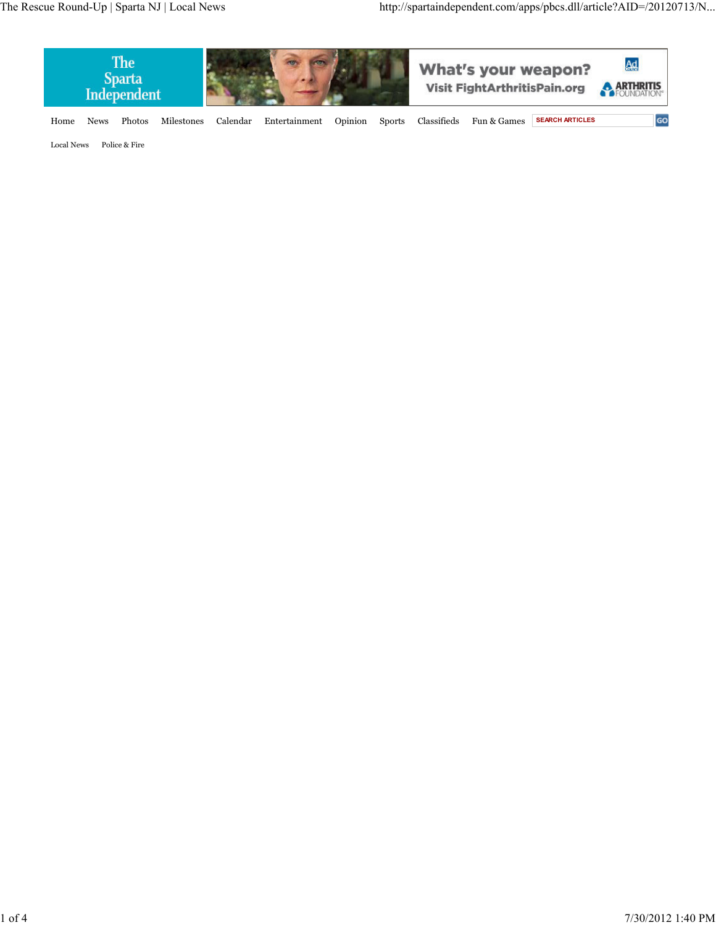

Home News Photos Milestones Calendar Entertainment Opinion Sports Classifieds Fun & Games **SEARCH ARTICLES**

GO

Local News Police & Fire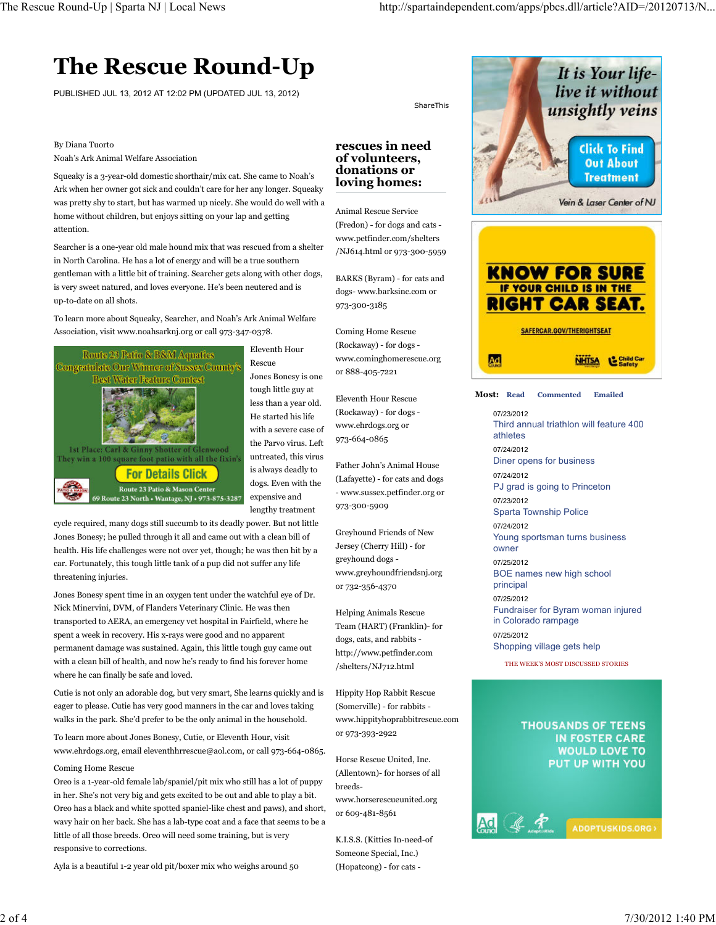# **The Rescue Round-Up**

PUBLISHED JUL 13, 2012 AT 12:02 PM (UPDATED JUL 13, 2012)

#### By Diana Tuorto

Noah's Ark Animal Welfare Association

Squeaky is a 3-year-old domestic shorthair/mix cat. She came to Noah's Ark when her owner got sick and couldn't care for her any longer. Squeaky was pretty shy to start, but has warmed up nicely. She would do well with a home without children, but enjoys sitting on your lap and getting attention.

Searcher is a one-year old male hound mix that was rescued from a shelter in North Carolina. He has a lot of energy and will be a true southern gentleman with a little bit of training. Searcher gets along with other dogs, is very sweet natured, and loves everyone. He's been neutered and is up-to-date on all shots.

To learn more about Squeaky, Searcher, and Noah's Ark Animal Welfare Association, visit www.noahsarknj.org or call 973-347-0378.



Eleventh Hour Rescue Jones Bonesy is one tough little guy at less than a year old. He started his life with a severe case of the Parvo virus. Left untreated, this virus is always deadly to dogs. Even with the expensive and lengthy treatment

cycle required, many dogs still succumb to its deadly power. But not little Jones Bonesy; he pulled through it all and came out with a clean bill of health. His life challenges were not over yet, though; he was then hit by a car. Fortunately, this tough little tank of a pup did not suffer any life threatening injuries.

Jones Bonesy spent time in an oxygen tent under the watchful eye of Dr. Nick Minervini, DVM, of Flanders Veterinary Clinic. He was then transported to AERA, an emergency vet hospital in Fairfield, where he spent a week in recovery. His x-rays were good and no apparent permanent damage was sustained. Again, this little tough guy came out with a clean bill of health, and now he's ready to find his forever home where he can finally be safe and loved.

Cutie is not only an adorable dog, but very smart, She learns quickly and is eager to please. Cutie has very good manners in the car and loves taking walks in the park. She'd prefer to be the only animal in the household.

To learn more about Jones Bonesy, Cutie, or Eleventh Hour, visit www.ehrdogs.org, email eleventhhrrescue@aol.com, or call 973-664-0865.

#### Coming Home Rescue

Oreo is a 1-year-old female lab/spaniel/pit mix who still has a lot of puppy in her. She's not very big and gets excited to be out and able to play a bit. Oreo has a black and white spotted spaniel-like chest and paws), and short, wavy hair on her back. She has a lab-type coat and a face that seems to be a little of all those breeds. Oreo will need some training, but is very responsive to corrections.

Ayla is a beautiful 1-2 year old pit/boxer mix who weighs around 50

**rescues in need of volunteers, donations or**

ShareThis

**loving homes:**

Animal Rescue Service (Fredon) - for dogs and cats www.petfinder.com/shelters /NJ614.html or 973-300-5959

BARKS (Byram) - for cats and dogs- www.barksinc.com or 973-300-3185

Coming Home Rescue (Rockaway) - for dogs www.cominghomerescue.org or 888-405-7221

Eleventh Hour Rescue (Rockaway) - for dogs www.ehrdogs.org or 973-664-0865

Father John's Animal House (Lafayette) - for cats and dogs - www.sussex.petfinder.org or 973-300-5909

Greyhound Friends of New Jersey (Cherry Hill) - for greyhound dogs www.greyhoundfriendsnj.org or 732-356-4370

Helping Animals Rescue Team (HART) (Franklin)- for dogs, cats, and rabbits http://www.petfinder.com /shelters/NJ712.html

Hippity Hop Rabbit Rescue (Somerville) - for rabbits www.hippityhoprabbitrescue.com or 973-393-2922

Horse Rescue United, Inc. (Allentown)- for horses of all breedswww.horserescueunited.org or 609-481-8561

K.I.S.S. (Kitties In-need-of Someone Special, Inc.) (Hopatcong) - for cats -



**Most: Read Commented Emailed**

> 07/23/2012 Third annual triathlon will feature 400 athletes 07/24/2012 Diner opens for business 07/24/2012 PJ grad is going to Princeton 07/23/2012 Sparta Township Police 07/24/2012 Young sportsman turns business owner 07/25/2012 BOE names new high school principal 07/25/2012 Fundraiser for Byram woman injured in Colorado rampage 07/25/2012 Shopping village gets help

THE WEEK'S MOST DISCUSSED STORIES

### **THOUSANDS OF TEENS** IN FOSTER CARE **WOULD LOVE TO** PUT UP WITH YOU

ADOPTUSKIDS.ORG)

 $\mathcal{L}$  R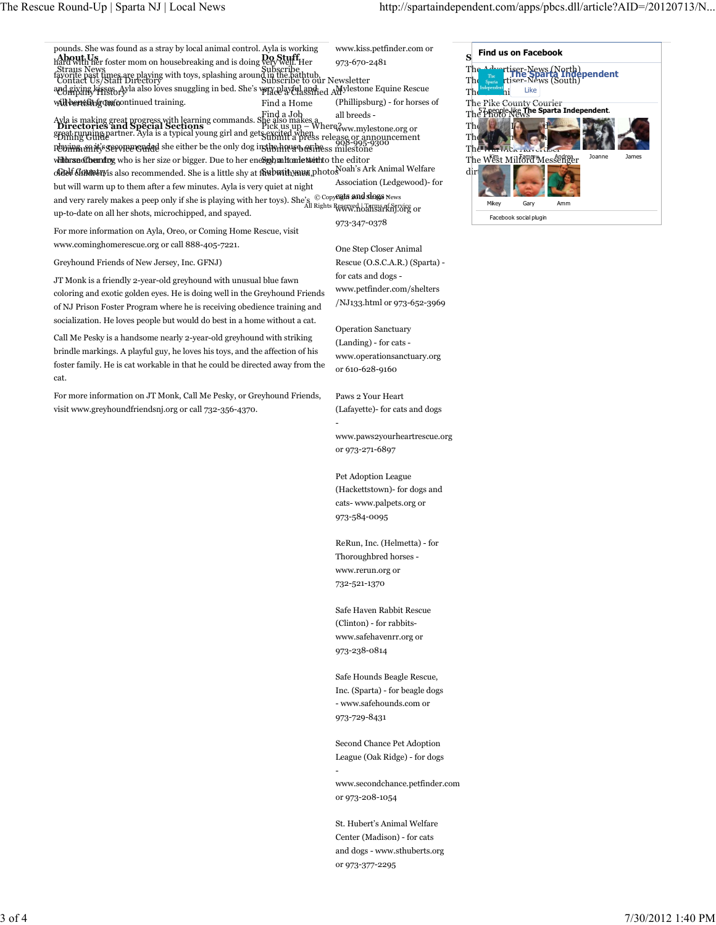| pounds. She was found as a stray by local animal control. Ayla is working<br>hard with her foster mom on housebreaking and is doing <b>Do Stuff</b> . Her<br><b>Straus News</b><br>Straus News<br>world past times are playing with toys, splashing around in the bathtub,<br>Contact Us/Staff Directory<br>and giving lasses Ayla also loves snuggling in bed. She's very playful and ed Advlestone Equine Rescue<br>will berefine Imfoontinued training.<br>Find a Home<br>Ayla is making great progress with learning commands. Shind a Joh.<br><b>Directories and Special Sections</b><br>Biok us up – Where www.mylestone.org or<br>Bioking Ginage artner. Ayla is a typical young girl and gets stormed when seleas<br>position of the only dog institutions of these milestone<br>with the sum of the state of bigger. Due to her energy built that the editor<br>ordelf Condectivis also recommended. She is a little shy at for built your photos oah's Ark Animal Welfare<br>but will warm up to them after a few minutes. Ayla is very quiet at night<br>and very rarely makes a peep only if she is playing with her toys). She's $\ ^\copyright$ Copyfight and slogs news<br>up-to-date on all her shots, microchipped, and spayed.<br>For more information on Ayla, Oreo, or Coming Home Rescue, visit<br>www.cominghomerescue.org or call 888-405-7221.<br>Greyhound Friends of New Jersey, Inc. GFNJ)<br>JT Monk is a friendly 2-year-old greyhound with unusual blue fawn<br>coloring and exotic golden eyes. He is doing well in the Greyhound Friends<br>of NJ Prison Foster Program where he is receiving obedience training and<br>socialization. He loves people but would do best in a home without a cat.<br>Call Me Pesky is a handsome nearly 2-year-old greyhound with striking<br>brindle markings. A playful guy, he loves his toys, and the affection of his | www.kiss.petfinder.com or<br>973-670-2481<br>(Phillipsburg) - for horses of<br>announcement<br>Association (Ledgewood)- for<br>All Rights Reserved Forms of Service or<br>973-347-0378<br>One Step Closer Animal<br>Rescue (O.S.C.A.R.) (Sparta) -<br>for cats and dogs -<br>www.petfinder.com/shelters<br>/NJ133.html or 973-652-3969<br><b>Operation Sanctuary</b><br>(Landing) - for cats -<br>www.operationsanctuary.org | <b>Find us on Facebook</b><br>The<br>rtiser-News (North)<br>épendent<br>rtiser-News (South)<br>Th<br>Like<br>The Pike County Courier<br>The Photo News<br>The Photo News<br>Th<br>Joanne<br><b>James</b><br>The West Milford Messenger<br>dir<br>Gary<br>Mikey<br>Amm<br>Facebook social plugin |
|--------------------------------------------------------------------------------------------------------------------------------------------------------------------------------------------------------------------------------------------------------------------------------------------------------------------------------------------------------------------------------------------------------------------------------------------------------------------------------------------------------------------------------------------------------------------------------------------------------------------------------------------------------------------------------------------------------------------------------------------------------------------------------------------------------------------------------------------------------------------------------------------------------------------------------------------------------------------------------------------------------------------------------------------------------------------------------------------------------------------------------------------------------------------------------------------------------------------------------------------------------------------------------------------------------------------------------------------------------------------------------------------------------------------------------------------------------------------------------------------------------------------------------------------------------------------------------------------------------------------------------------------------------------------------------------------------------------------------------------------------------------------------------------------------------------------------------------------------------------------------------------------|------------------------------------------------------------------------------------------------------------------------------------------------------------------------------------------------------------------------------------------------------------------------------------------------------------------------------------------------------------------------------------------------------------------------------|-------------------------------------------------------------------------------------------------------------------------------------------------------------------------------------------------------------------------------------------------------------------------------------------------|
| For more information on JT Monk, Call Me Pesky, or Greyhound Friends,<br>visit www.greyhoundfriendsnj.org or call 732-356-4370.                                                                                                                                                                                                                                                                                                                                                                                                                                                                                                                                                                                                                                                                                                                                                                                                                                                                                                                                                                                                                                                                                                                                                                                                                                                                                                                                                                                                                                                                                                                                                                                                                                                                                                                                                            | Paws 2 Your Heart<br>(Lafayette)- for cats and dogs<br>www.paws2yourheartrescue.org<br>or 973-271-6897<br>Pet Adoption League<br>(Hackettstown) for dogs and<br>cats-www.palpets.org or<br>973-584-0095<br>ReRun, Inc. (Helmetta) - for<br>Thoroughbred horses -<br>www.rerun.org or<br>732-521-1370<br>Safe Haven Rabbit Rescue<br>(Clinton) - for rabbits-<br>www.safehavenrr.org or<br>973-238-0814                       |                                                                                                                                                                                                                                                                                                 |
|                                                                                                                                                                                                                                                                                                                                                                                                                                                                                                                                                                                                                                                                                                                                                                                                                                                                                                                                                                                                                                                                                                                                                                                                                                                                                                                                                                                                                                                                                                                                                                                                                                                                                                                                                                                                                                                                                            | Safe Hounds Beagle Rescue,<br>Inc. (Sparta) - for beagle dogs<br>- www.safehounds.com or<br>973-729-8431<br>Second Chance Pet Adoption<br>League (Oak Ridge) - for dogs<br>www.secondchance.petfinder.com<br>or 973-208-1054                                                                                                                                                                                                 |                                                                                                                                                                                                                                                                                                 |

St. Hubert's Animal Welfare Center (Madison) - for cats and dogs - www.sthuberts.org or 973-377-2295